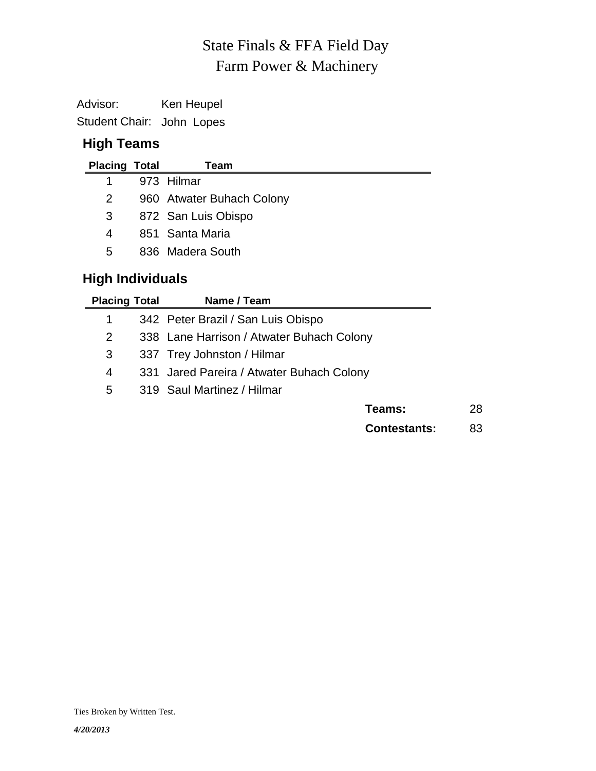# Farm Power & Machinery State Finals & FFA Field Day

Advisor: Ken Heupel Student Chair: John Lopes

#### **High Teams**

| <b>Placing Total</b> | Team                      |
|----------------------|---------------------------|
|                      | 973 Hilmar                |
| 2                    | 960 Atwater Buhach Colony |
| 3                    | 872 San Luis Obispo       |
| 4                    | 851 Santa Maria           |
| 5.                   | 836 Madera South          |

## **High Individuals**

| <b>Placing Total</b> | Name / Team                               |    |
|----------------------|-------------------------------------------|----|
| 1                    | 342 Peter Brazil / San Luis Obispo        |    |
| 2                    | 338 Lane Harrison / Atwater Buhach Colony |    |
| 3                    | 337 Trey Johnston / Hilmar                |    |
| 4                    | 331 Jared Pareira / Atwater Buhach Colony |    |
| 5                    | 319 Saul Martinez / Hilmar                |    |
|                      | Teams:                                    | 28 |
|                      | <b>Contestants:</b>                       | 83 |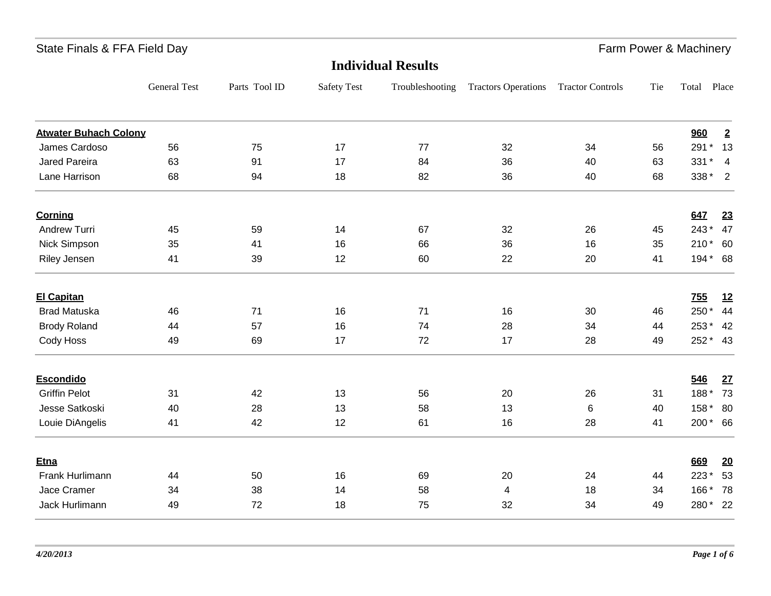| State Finals & FFA Field Day |  |  |  |  |
|------------------------------|--|--|--|--|
|------------------------------|--|--|--|--|

State Finals & Farm Power & Machinery

| <b>Individual Results</b>    |                     |               |                    |                 |                            |                         |     |            |                |
|------------------------------|---------------------|---------------|--------------------|-----------------|----------------------------|-------------------------|-----|------------|----------------|
|                              | <b>General Test</b> | Parts Tool ID | <b>Safety Test</b> | Troubleshooting | <b>Tractors Operations</b> | <b>Tractor Controls</b> | Tie | Total      | Place          |
| <b>Atwater Buhach Colony</b> |                     |               |                    |                 |                            |                         |     | 960        | $\overline{2}$ |
| James Cardoso                | 56                  | 75            | 17                 | 77              | 32                         | 34                      | 56  | 291 *      | 13             |
| <b>Jared Pareira</b>         | 63                  | 91            | 17                 | 84              | 36                         | 40                      | 63  | 331 *      | $\overline{4}$ |
| Lane Harrison                | 68                  | 94            | 18                 | 82              | 36                         | 40                      | 68  | 338 * 2    |                |
| <b>Corning</b>               |                     |               |                    |                 |                            |                         |     | 647        | 23             |
| Andrew Turri                 | 45                  | 59            | 14                 | 67              | 32                         | 26                      | 45  | 243*       | 47             |
| Nick Simpson                 | 35                  | 41            | 16                 | 66              | 36                         | 16                      | 35  | 210 * 60   |                |
| Riley Jensen                 | 41                  | 39            | 12                 | 60              | 22                         | 20                      | 41  | 194* 68    |                |
| <b>El Capitan</b>            |                     |               |                    |                 |                            |                         |     | <b>755</b> | 12             |
| <b>Brad Matuska</b>          | 46                  | 71            | 16                 | 71              | 16                         | 30                      | 46  | 250*       | 44             |
| <b>Brody Roland</b>          | 44                  | 57            | 16                 | 74              | 28                         | 34                      | 44  | 253 *      | 42             |
| Cody Hoss                    | 49                  | 69            | 17                 | 72              | 17                         | 28                      | 49  | 252 * 43   |                |
| <b>Escondido</b>             |                     |               |                    |                 |                            |                         |     | 546        | 27             |
| <b>Griffin Pelot</b>         | 31                  | 42            | 13                 | 56              | 20                         | 26                      | 31  | 188*       | 73             |
| Jesse Satkoski               | 40                  | 28            | 13                 | 58              | 13                         | 6                       | 40  | 158 *      | 80             |
| Louie DiAngelis              | 41                  | 42            | 12                 | 61              | 16                         | 28                      | 41  | 200* 66    |                |
| Etna                         |                     |               |                    |                 |                            |                         |     | 669        | 20             |
| Frank Hurlimann              | 44                  | 50            | 16                 | 69              | 20                         | 24                      | 44  | 223*       | 53             |
| Jace Cramer                  | 34                  | 38            | 14                 | 58              | $\overline{4}$             | 18                      | 34  | 166*       | 78             |
| Jack Hurlimann               | 49                  | 72            | 18                 | 75              | 32                         | 34                      | 49  | 280*       | 22             |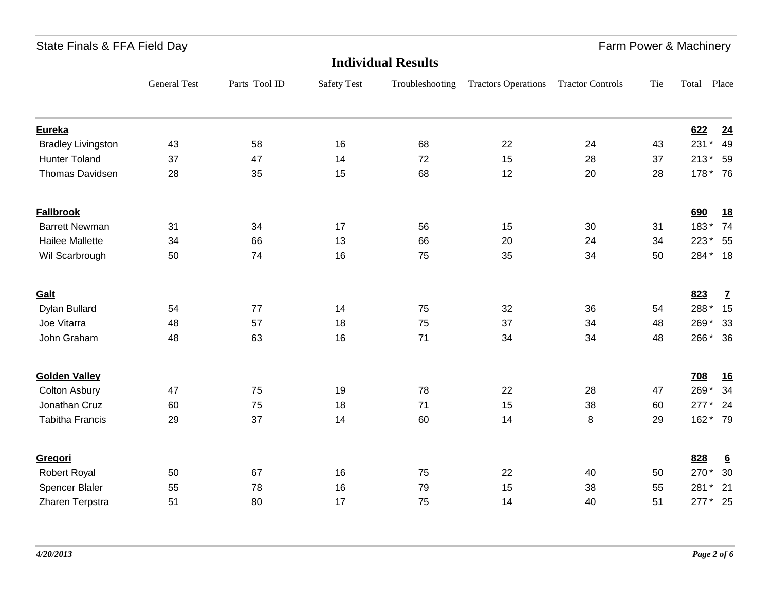| <b>Individual Results</b> |                     |               |                    |                 |                            |                         |     |          |                 |
|---------------------------|---------------------|---------------|--------------------|-----------------|----------------------------|-------------------------|-----|----------|-----------------|
|                           | <b>General Test</b> | Parts Tool ID | <b>Safety Test</b> | Troubleshooting | <b>Tractors Operations</b> | <b>Tractor Controls</b> | Tie | Total    | Place           |
| <b>Eureka</b>             |                     |               |                    |                 |                            |                         |     | 622      | 24              |
| <b>Bradley Livingston</b> | 43                  | 58            | 16                 | 68              | 22                         | 24                      | 43  | 231 *    | 49              |
| <b>Hunter Toland</b>      | 37                  | 47            | 14                 | 72              | 15                         | 28                      | 37  | 213 * 59 |                 |
| Thomas Davidsen           | 28                  | 35            | 15                 | 68              | 12                         | 20                      | 28  | 178 * 76 |                 |
| <b>Fallbrook</b>          |                     |               |                    |                 |                            |                         |     | 690      | <u>18</u>       |
| <b>Barrett Newman</b>     | 31                  | 34            | 17                 | 56              | 15                         | 30                      | 31  | 183*     | 74              |
| <b>Hailee Mallette</b>    | 34                  | 66            | 13                 | 66              | 20                         | 24                      | 34  | 223 *    | 55              |
| Wil Scarbrough            | 50                  | 74            | 16                 | 75              | 35                         | 34                      | 50  | 284 * 18 |                 |
| Galt                      |                     |               |                    |                 |                            |                         |     | 823      | $\mathbf{Z}$    |
| Dylan Bullard             | 54                  | 77            | 14                 | 75              | 32                         | 36                      | 54  | 288*     | 15              |
| Joe Vitarra               | 48                  | 57            | 18                 | 75              | 37                         | 34                      | 48  | 269*     | 33              |
| John Graham               | 48                  | 63            | 16                 | 71              | 34                         | 34                      | 48  | 266 * 36 |                 |
| <b>Golden Valley</b>      |                     |               |                    |                 |                            |                         |     | 708      | <u>16</u>       |
| <b>Colton Asbury</b>      | 47                  | 75            | 19                 | 78              | 22                         | 28                      | 47  | 269*     | 34              |
| Jonathan Cruz             | 60                  | 75            | 18                 | 71              | 15                         | 38                      | 60  | $277*$   | 24              |
| <b>Tabitha Francis</b>    | 29                  | 37            | 14                 | 60              | 14                         | 8                       | 29  | 162 * 79 |                 |
| Gregori                   |                     |               |                    |                 |                            |                         |     | 828      | $6\overline{6}$ |
| Robert Royal              | 50                  | 67            | 16                 | 75              | 22                         | 40                      | 50  | 270*     | 30              |
| Spencer Blaler            | 55                  | 78            | 16                 | 79              | 15                         | 38                      | 55  | 281 *    | 21              |
| Zharen Terpstra           | 51                  | 80            | 17                 | 75              | 14                         | 40                      | 51  | 277 * 25 |                 |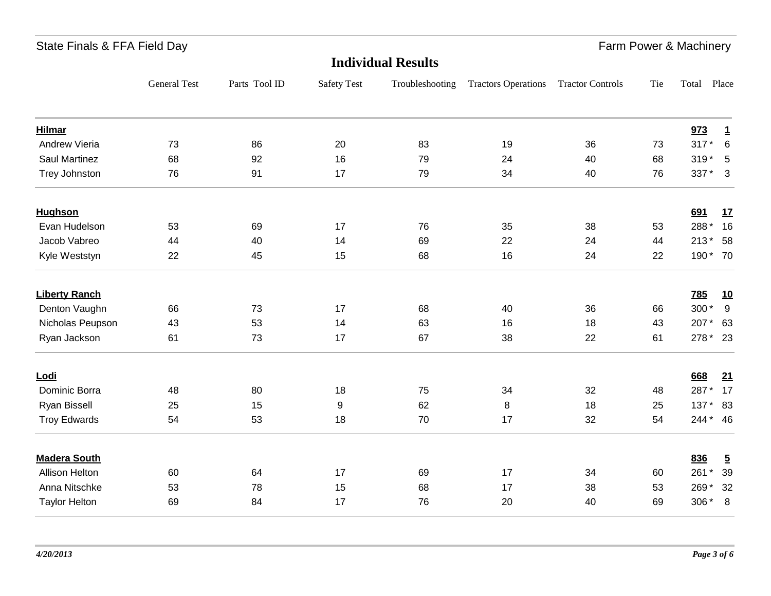|                       | <b>Individual Results</b> |               |                    |                 |                            |                         |     |            |                         |  |
|-----------------------|---------------------------|---------------|--------------------|-----------------|----------------------------|-------------------------|-----|------------|-------------------------|--|
|                       | <b>General Test</b>       | Parts Tool ID | <b>Safety Test</b> | Troubleshooting | <b>Tractors Operations</b> | <b>Tractor Controls</b> | Tie | Total      | Place                   |  |
| <b>Hilmar</b>         |                           |               |                    |                 |                            |                         |     | 973        | $\mathbf{1}$            |  |
| Andrew Vieria         | 73                        | 86            | 20                 | 83              | 19                         | 36                      | 73  | $317*$     | 6                       |  |
| Saul Martinez         | 68                        | 92            | 16                 | 79              | 24                         | 40                      | 68  | $319*$     | 5                       |  |
| <b>Trey Johnston</b>  | 76                        | 91            | 17                 | 79              | 34                         | 40                      | 76  | 337 *      | $\overline{\mathbf{3}}$ |  |
| <b>Hughson</b>        |                           |               |                    |                 |                            |                         |     | 691        | <u>17</u>               |  |
| Evan Hudelson         | 53                        | 69            | 17                 | 76              | 35                         | 38                      | 53  | 288*       | 16                      |  |
| Jacob Vabreo          | 44                        | 40            | 14                 | 69              | 22                         | 24                      | 44  | $213*$     | 58                      |  |
| Kyle Weststyn         | 22                        | 45            | 15                 | 68              | 16                         | 24                      | 22  | 190 * 70   |                         |  |
| <b>Liberty Ranch</b>  |                           |               |                    |                 |                            |                         |     | <b>785</b> | <u>10</u>               |  |
| Denton Vaughn         | 66                        | 73            | 17                 | 68              | 40                         | 36                      | 66  | 300*       | 9                       |  |
| Nicholas Peupson      | 43                        | 53            | 14                 | 63              | 16                         | 18                      | 43  | 207*       | 63                      |  |
| Ryan Jackson          | 61                        | 73            | 17                 | 67              | 38                         | 22                      | 61  | 278 * 23   |                         |  |
| Lodi                  |                           |               |                    |                 |                            |                         |     | 668        | 21                      |  |
| Dominic Borra         | 48                        | 80            | 18                 | 75              | 34                         | 32                      | 48  | 287*       | 17                      |  |
| <b>Ryan Bissell</b>   | 25                        | 15            | 9                  | 62              | 8                          | 18                      | 25  | 137 * 83   |                         |  |
| <b>Troy Edwards</b>   | 54                        | 53            | 18                 | 70              | 17                         | 32                      | 54  | 244 * 46   |                         |  |
| <b>Madera South</b>   |                           |               |                    |                 |                            |                         |     | 836        | $\overline{5}$          |  |
| <b>Allison Helton</b> | 60                        | 64            | 17                 | 69              | 17                         | 34                      | 60  | 261 *      | 39                      |  |
| Anna Nitschke         | 53                        | 78            | 15                 | 68              | 17                         | 38                      | 53  | 269*       | 32                      |  |
| <b>Taylor Helton</b>  | 69                        | 84            | 17                 | 76              | 20                         | 40                      | 69  | 306 *      | 8                       |  |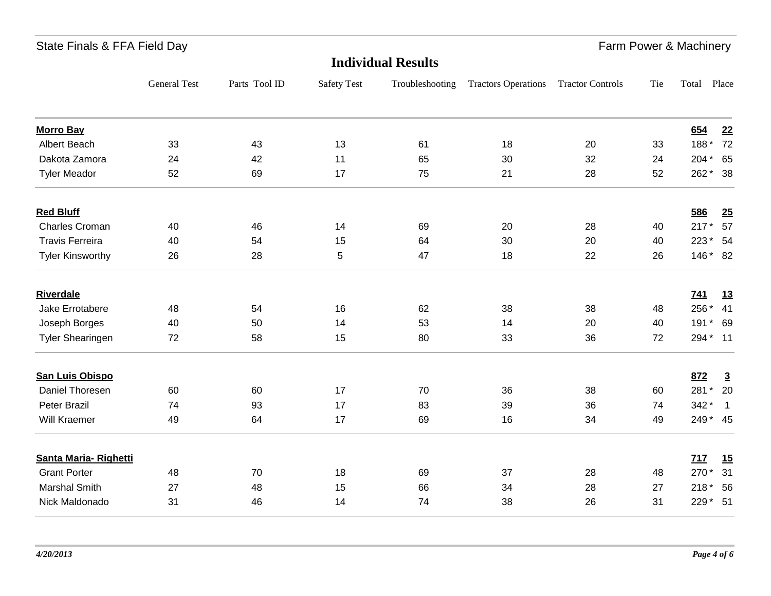| <b>Individual Results</b> |                     |               |                    |                 |                            |                         |     |            |                |
|---------------------------|---------------------|---------------|--------------------|-----------------|----------------------------|-------------------------|-----|------------|----------------|
|                           | <b>General Test</b> | Parts Tool ID | <b>Safety Test</b> | Troubleshooting | <b>Tractors Operations</b> | <b>Tractor Controls</b> | Tie | Total      | Place          |
| <b>Morro Bay</b>          |                     |               |                    |                 |                            |                         |     | 654        | 22             |
| Albert Beach              | 33                  | 43            | 13                 | 61              | 18                         | 20                      | 33  | 188*       | 72             |
| Dakota Zamora             | 24                  | 42            | 11                 | 65              | 30                         | 32                      | 24  | $204*$     | 65             |
| <b>Tyler Meador</b>       | 52                  | 69            | 17                 | 75              | 21                         | 28                      | 52  | 262 * 38   |                |
| <b>Red Bluff</b>          |                     |               |                    |                 |                            |                         |     | 586        | 25             |
| <b>Charles Croman</b>     | 40                  | 46            | 14                 | 69              | 20                         | 28                      | 40  | $217*$     | 57             |
| <b>Travis Ferreira</b>    | 40                  | 54            | 15                 | 64              | 30                         | 20                      | 40  | 223 * 54   |                |
| <b>Tyler Kinsworthy</b>   | 26                  | 28            | 5                  | 47              | 18                         | 22                      | 26  | 146 * 82   |                |
| <b>Riverdale</b>          |                     |               |                    |                 |                            |                         |     | <u>741</u> | 13             |
| Jake Errotabere           | 48                  | 54            | 16                 | 62              | 38                         | 38                      | 48  | 256 *      | 41             |
| Joseph Borges             | 40                  | 50            | 14                 | 53              | 14                         | 20                      | 40  | $191*$     | 69             |
| <b>Tyler Shearingen</b>   | 72                  | 58            | 15                 | 80              | 33                         | 36                      | 72  | 294 * 11   |                |
| <b>San Luis Obispo</b>    |                     |               |                    |                 |                            |                         |     | 872        | $\overline{3}$ |
| Daniel Thoresen           | 60                  | 60            | 17                 | 70              | 36                         | 38                      | 60  | 281 *      | 20             |
| <b>Peter Brazil</b>       | 74                  | 93            | 17                 | 83              | 39                         | 36                      | 74  | 342*       | $\overline{1}$ |
| Will Kraemer              | 49                  | 64            | 17                 | 69              | 16                         | 34                      | 49  | 249 * 45   |                |
| Santa Maria-Righetti      |                     |               |                    |                 |                            |                         |     | 717        | 15             |
| <b>Grant Porter</b>       | 48                  | 70            | 18                 | 69              | 37                         | 28                      | 48  | 270*       | 31             |
| <b>Marshal Smith</b>      | 27                  | 48            | 15                 | 66              | 34                         | 28                      | 27  | $218*$     | 56             |
| Nick Maldonado            | 31                  | 46            | 14                 | 74              | 38                         | 26                      | 31  | 229 * 51   |                |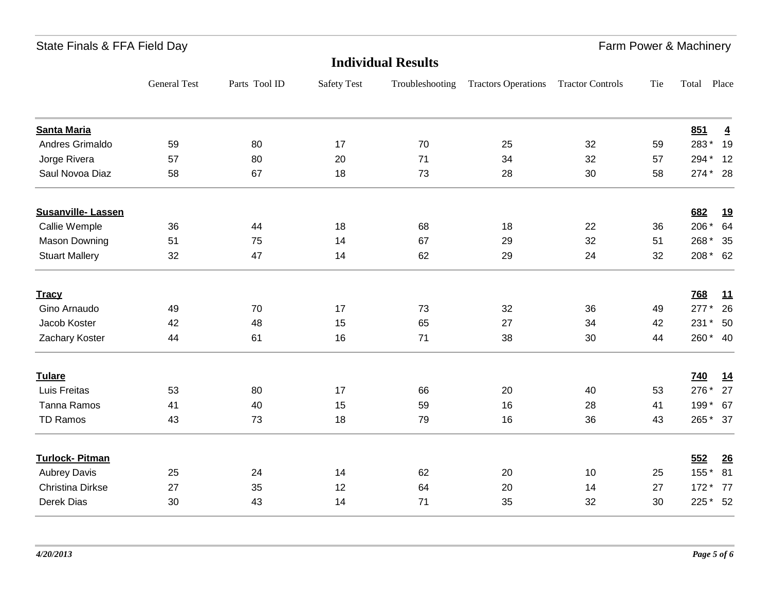|                          | <b>Individual Results</b> |               |                    |                 |                            |                         |     |            |                |  |
|--------------------------|---------------------------|---------------|--------------------|-----------------|----------------------------|-------------------------|-----|------------|----------------|--|
|                          | <b>General Test</b>       | Parts Tool ID | <b>Safety Test</b> | Troubleshooting | <b>Tractors Operations</b> | <b>Tractor Controls</b> | Tie | Total      | Place          |  |
| <b>Santa Maria</b>       |                           |               |                    |                 |                            |                         |     | 851        | $\overline{4}$ |  |
| Andres Grimaldo          | 59                        | 80            | 17                 | 70              | 25                         | 32                      | 59  | 283*       | 19             |  |
| Jorge Rivera             | 57                        | 80            | 20                 | 71              | 34                         | 32                      | 57  | 294 * 12   |                |  |
| Saul Novoa Diaz          | 58                        | 67            | 18                 | 73              | 28                         | 30                      | 58  | 274 * 28   |                |  |
| <b>Susanville-Lassen</b> |                           |               |                    |                 |                            |                         |     | 682        | <u>19</u>      |  |
| Callie Wemple            | 36                        | 44            | 18                 | 68              | 18                         | 22                      | 36  | 206 *      | 64             |  |
| <b>Mason Downing</b>     | 51                        | 75            | 14                 | 67              | 29                         | 32                      | 51  | 268*       | 35             |  |
| <b>Stuart Mallery</b>    | 32                        | 47            | 14                 | 62              | 29                         | 24                      | 32  | 208 * 62   |                |  |
| <b>Tracy</b>             |                           |               |                    |                 |                            |                         |     | 768        | 11             |  |
| Gino Arnaudo             | 49                        | 70            | 17                 | 73              | 32                         | 36                      | 49  | $277*$     | 26             |  |
| Jacob Koster             | 42                        | 48            | 15                 | 65              | 27                         | 34                      | 42  | 231 *      | 50             |  |
| Zachary Koster           | 44                        | 61            | 16                 | 71              | 38                         | 30                      | 44  | 260 * 40   |                |  |
| <b>Tulare</b>            |                           |               |                    |                 |                            |                         |     | <b>740</b> | 14             |  |
| Luis Freitas             | 53                        | 80            | 17                 | 66              | 20                         | 40                      | 53  | 276 *      | 27             |  |
| Tanna Ramos              | 41                        | 40            | 15                 | 59              | 16                         | 28                      | 41  | 199 * 67   |                |  |
| TD Ramos                 | 43                        | 73            | 18                 | 79              | 16                         | 36                      | 43  | 265 * 37   |                |  |
| <b>Turlock-Pitman</b>    |                           |               |                    |                 |                            |                         |     | 552        | 26             |  |
| <b>Aubrey Davis</b>      | 25                        | 24            | 14                 | 62              | 20                         | 10                      | 25  | 155 *      | 81             |  |
| <b>Christina Dirkse</b>  | 27                        | 35            | 12                 | 64              | 20                         | 14                      | 27  | 172 * 77   |                |  |
| Derek Dias               | 30                        | 43            | 14                 | 71              | 35                         | 32                      | 30  | 225 * 52   |                |  |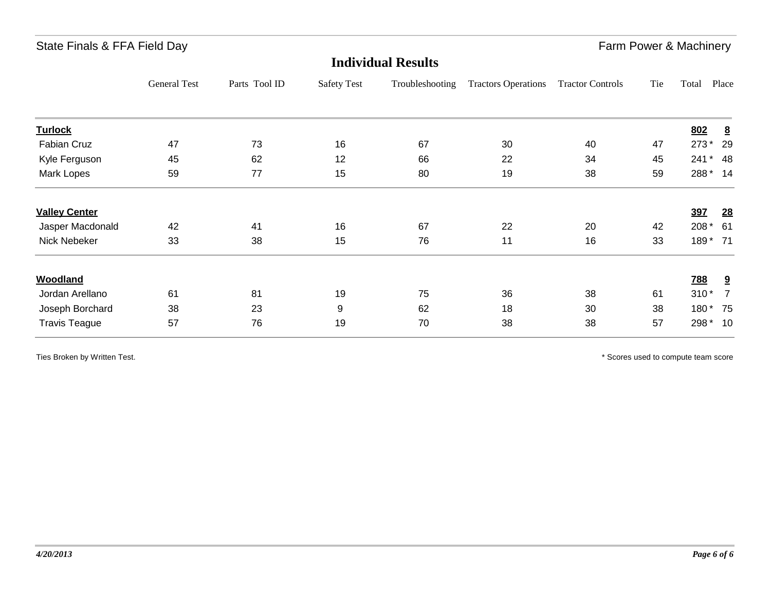|                      | <b>Individual Results</b> |               |                    |                 |                            |                         |     |            |                |  |  |
|----------------------|---------------------------|---------------|--------------------|-----------------|----------------------------|-------------------------|-----|------------|----------------|--|--|
|                      | General Test              | Parts Tool ID | <b>Safety Test</b> | Troubleshooting | <b>Tractors Operations</b> | <b>Tractor Controls</b> | Tie | Total      | Place          |  |  |
| <b>Turlock</b>       |                           |               |                    |                 |                            |                         |     | 802        | 8              |  |  |
| Fabian Cruz          | 47                        | 73            | 16                 | 67              | 30                         | 40                      | 47  | $273*$     | 29             |  |  |
| Kyle Ferguson        | 45                        | 62            | 12                 | 66              | 22                         | 34                      | 45  | 241        | $*$ 48         |  |  |
| Mark Lopes           | 59                        | 77            | 15                 | 80              | 19                         | 38                      | 59  | 288 * 14   |                |  |  |
| <b>Valley Center</b> |                           |               |                    |                 |                            |                         |     | 397        | <u>28</u>      |  |  |
| Jasper Macdonald     | 42                        | 41            | 16                 | 67              | 22                         | 20                      | 42  | 208 *      | -61            |  |  |
| Nick Nebeker         | 33                        | 38            | 15                 | 76              | 11                         | 16                      | 33  | 189 * 71   |                |  |  |
| Woodland             |                           |               |                    |                 |                            |                         |     | <u>788</u> | 9              |  |  |
| Jordan Arellano      | 61                        | 81            | 19                 | 75              | 36                         | 38                      | 61  | $310*$     | $\overline{7}$ |  |  |
| Joseph Borchard      | 38                        | 23            | 9                  | 62              | 18                         | 30                      | 38  | 180* 75    |                |  |  |
| <b>Travis Teague</b> | 57                        | 76            | 19                 | 70              | 38                         | 38                      | 57  | 298 * 10   |                |  |  |

Ties Broken by Written Test. The Scores used to compute team score  $*$  Scores used to compute team score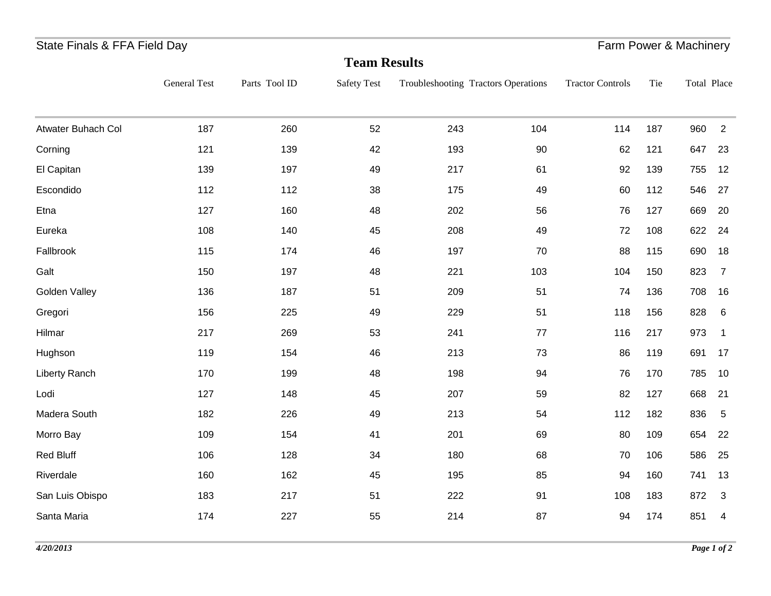#### State Finals & FFA Field Day **Farm Power & Machinery** State Finals & FFA Field Day

| <b>Team Results</b> |                     |               |                    |     |                                     |                         |     |             |                |  |
|---------------------|---------------------|---------------|--------------------|-----|-------------------------------------|-------------------------|-----|-------------|----------------|--|
|                     | <b>General Test</b> | Parts Tool ID | <b>Safety Test</b> |     | Troubleshooting Tractors Operations | <b>Tractor Controls</b> | Tie | Total Place |                |  |
| Atwater Buhach Col  | 187                 | 260           | 52                 | 243 | 104                                 | 114                     | 187 | 960         | 2              |  |
| Corning             | 121                 | 139           | 42                 | 193 | 90                                  | 62                      | 121 | 647         | 23             |  |
| El Capitan          | 139                 | 197           | 49                 | 217 | 61                                  | 92                      | 139 | 755         | 12             |  |
| Escondido           | 112                 | 112           | 38                 | 175 | 49                                  | 60                      | 112 | 546         | 27             |  |
| Etna                | 127                 | 160           | 48                 | 202 | 56                                  | 76                      | 127 | 669         | 20             |  |
| Eureka              | 108                 | 140           | 45                 | 208 | 49                                  | 72                      | 108 | 622         | 24             |  |
| Fallbrook           | 115                 | 174           | 46                 | 197 | 70                                  | 88                      | 115 | 690         | 18             |  |
| Galt                | 150                 | 197           | 48                 | 221 | 103                                 | 104                     | 150 | 823         | $\overline{7}$ |  |
| Golden Valley       | 136                 | 187           | 51                 | 209 | 51                                  | 74                      | 136 | 708         | 16             |  |
| Gregori             | 156                 | 225           | 49                 | 229 | 51                                  | 118                     | 156 | 828         | 6              |  |
| Hilmar              | 217                 | 269           | 53                 | 241 | 77                                  | 116                     | 217 | 973         | $\overline{1}$ |  |
| Hughson             | 119                 | 154           | 46                 | 213 | 73                                  | 86                      | 119 | 691         | 17             |  |
| Liberty Ranch       | 170                 | 199           | 48                 | 198 | 94                                  | 76                      | 170 | 785         | 10             |  |
| Lodi                | 127                 | 148           | 45                 | 207 | 59                                  | 82                      | 127 | 668         | 21             |  |
| Madera South        | 182                 | 226           | 49                 | 213 | 54                                  | 112                     | 182 | 836         | $\sqrt{5}$     |  |
| Morro Bay           | 109                 | 154           | 41                 | 201 | 69                                  | 80                      | 109 | 654         | 22             |  |
| <b>Red Bluff</b>    | 106                 | 128           | 34                 | 180 | 68                                  | 70                      | 106 | 586         | 25             |  |
| Riverdale           | 160                 | 162           | 45                 | 195 | 85                                  | 94                      | 160 | 741         | 13             |  |
| San Luis Obispo     | 183                 | 217           | 51                 | 222 | 91                                  | 108                     | 183 | 872         | 3              |  |
| Santa Maria         | 174                 | 227           | 55                 | 214 | 87                                  | 94                      | 174 | 851         | 4              |  |